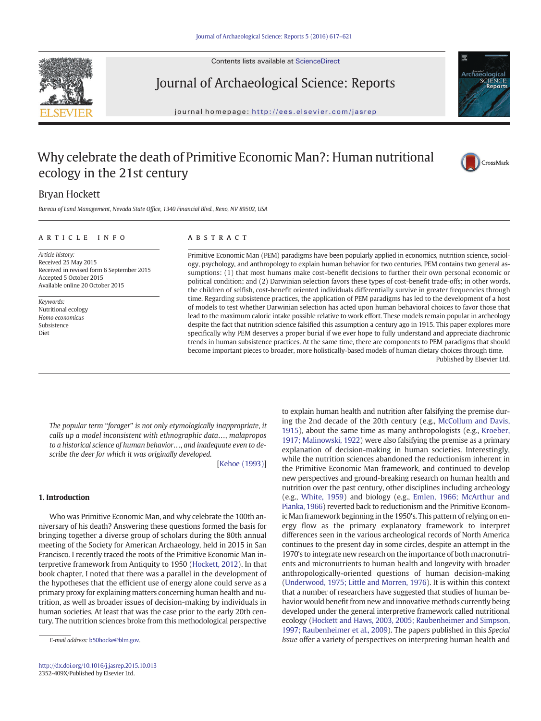Contents lists available at ScienceDirect





# Journal of Archaeological Science: Reports

journal homepage: <http://ees.elsevier.com/jasrep>

# Why celebrate the death of Primitive Economic Man?: Human nutritional ecology in the 21st century



### Bryan Hockett

Bureau of Land Management, Nevada State Office, 1340 Financial Blvd., Reno, NV 89502, USA

### article info abstract

Article history: Received 25 May 2015 Received in revised form 6 September 2015 Accepted 5 October 2015 Available online 20 October 2015

Keywords: Nutritional ecology Homo economicus Subsistence Diet

Primitive Economic Man (PEM) paradigms have been popularly applied in economics, nutrition science, sociology, psychology, and anthropology to explain human behavior for two centuries. PEM contains two general assumptions: (1) that most humans make cost-benefit decisions to further their own personal economic or political condition; and (2) Darwinian selection favors these types of cost-benefit trade-offs; in other words, the children of selfish, cost-benefit oriented individuals differentially survive in greater frequencies through time. Regarding subsistence practices, the application of PEM paradigms has led to the development of a host of models to test whether Darwinian selection has acted upon human behavioral choices to favor those that lead to the maximum caloric intake possible relative to work effort. These models remain popular in archeology despite the fact that nutrition science falsified this assumption a century ago in 1915. This paper explores more specifically why PEM deserves a proper burial if we ever hope to fully understand and appreciate diachronic trends in human subsistence practices. At the same time, there are components to PEM paradigms that should become important pieces to broader, more holistically-based models of human dietary choices through time. Published by Elsevier Ltd.

The popular term "forager" is not only etymologically inappropriate, it calls up a model inconsistent with ethnographic data…, malapropos to a historical science of human behavior…, and inadequate even to describe the deer for which it was originally developed.

[[Kehoe \(1993\)\]](#page-4-0)

#### 1. Introduction

Who was Primitive Economic Man, and why celebrate the 100th anniversary of his death? Answering these questions formed the basis for bringing together a diverse group of scholars during the 80th annual meeting of the Society for American Archaeology, held in 2015 in San Francisco. I recently traced the roots of the Primitive Economic Man interpretive framework from Antiquity to 1950 ([Hockett, 2012](#page-4-0)). In that book chapter, I noted that there was a parallel in the development of the hypotheses that the efficient use of energy alone could serve as a primary proxy for explaining matters concerning human health and nutrition, as well as broader issues of decision-making by individuals in human societies. At least that was the case prior to the early 20th century. The nutrition sciences broke from this methodological perspective

to explain human health and nutrition after falsifying the premise during the 2nd decade of the 20th century (e.g., [McCollum and Davis,](#page-4-0) [1915\)](#page-4-0), about the same time as many anthropologists (e.g., [Kroeber,](#page-4-0) [1917; Malinowski, 1922](#page-4-0)) were also falsifying the premise as a primary explanation of decision-making in human societies. Interestingly, while the nutrition sciences abandoned the reductionism inherent in the Primitive Economic Man framework, and continued to develop new perspectives and ground-breaking research on human health and nutrition over the past century, other disciplines including archeology (e.g., [White, 1959\)](#page-4-0) and biology (e.g., [Emlen, 1966; McArthur and](#page-4-0) [Pianka, 1966](#page-4-0)) reverted back to reductionism and the Primitive Economic Man framework beginning in the 1950's. This pattern of relying on energy flow as the primary explanatory framework to interpret differences seen in the various archeological records of North America continues to the present day in some circles, despite an attempt in the 1970's to integrate new research on the importance of both macronutrients and micronutrients to human health and longevity with broader anthropologically-oriented questions of human decision-making [\(Underwood, 1975; Little and Morren, 1976\)](#page-4-0). It is within this context that a number of researchers have suggested that studies of human behavior would benefit from new and innovative methods currently being developed under the general interpretive framework called nutritional ecology ([Hockett and Haws, 2003, 2005; Raubenheimer and Simpson,](#page-4-0) [1997; Raubenheimer et al., 2009\)](#page-4-0). The papers published in this Special Issue offer a variety of perspectives on interpreting human health and

E-mail address: [b50hocke@blm.gov](mailto:b50hocke@blm.gov).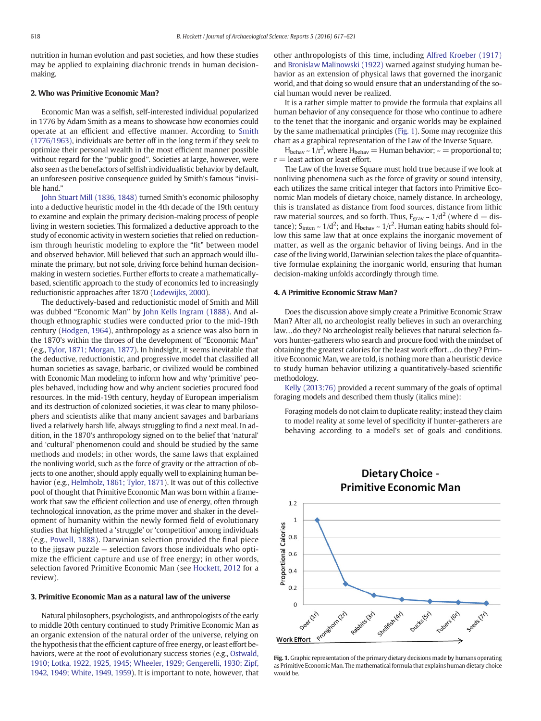nutrition in human evolution and past societies, and how these studies may be applied to explaining diachronic trends in human decisionmaking.

#### 2. Who was Primitive Economic Man?

Economic Man was a selfish, self-interested individual popularized in 1776 by Adam Smith as a means to showcase how economies could operate at an efficient and effective manner. According to [Smith](#page-4-0) [\(1776/1963\)](#page-4-0), individuals are better off in the long term if they seek to optimize their personal wealth in the most efficient manner possible without regard for the "public good". Societies at large, however, were also seen as the benefactors of selfish individualistic behavior by default, an unforeseen positive consequence guided by Smith's famous "invisible hand."

[John Stuart Mill \(1836, 1848\)](#page-4-0) turned Smith's economic philosophy into a deductive heuristic model in the 4th decade of the 19th century to examine and explain the primary decision-making process of people living in western societies. This formalized a deductive approach to the study of economic activity in western societies that relied on reductionism through heuristic modeling to explore the "fit" between model and observed behavior. Mill believed that such an approach would illuminate the primary, but not sole, driving force behind human decisionmaking in western societies. Further efforts to create a mathematicallybased, scientific approach to the study of economics led to increasingly reductionistic approaches after 1870 ([Lodewijks, 2000](#page-4-0)).

The deductively-based and reductionistic model of Smith and Mill was dubbed "Economic Man" by [John Kells Ingram \(1888\).](#page-4-0) And although ethnographic studies were conducted prior to the mid-19th century ([Hodgen, 1964](#page-4-0)), anthropology as a science was also born in the 1870's within the throes of the development of "Economic Man" (e.g., [Tylor, 1871; Morgan, 1877](#page-4-0)). In hindsight, it seems inevitable that the deductive, reductionistic, and progressive model that classified all human societies as savage, barbaric, or civilized would be combined with Economic Man modeling to inform how and why 'primitive' peoples behaved, including how and why ancient societies procured food resources. In the mid-19th century, heyday of European imperialism and its destruction of colonized societies, it was clear to many philosophers and scientists alike that many ancient savages and barbarians lived a relatively harsh life, always struggling to find a next meal. In addition, in the 1870's anthropology signed on to the belief that 'natural' and 'cultural' phenomenon could and should be studied by the same methods and models; in other words, the same laws that explained the nonliving world, such as the force of gravity or the attraction of objects to one another, should apply equally well to explaining human behavior (e.g., [Helmholz, 1861; Tylor, 1871\)](#page-4-0). It was out of this collective pool of thought that Primitive Economic Man was born within a framework that saw the efficient collection and use of energy, often through technological innovation, as the prime mover and shaker in the development of humanity within the newly formed field of evolutionary studies that highlighted a 'struggle' or 'competition' among individuals (e.g., [Powell, 1888\)](#page-4-0). Darwinian selection provided the final piece to the jigsaw puzzle — selection favors those individuals who optimize the efficient capture and use of free energy; in other words, selection favored Primitive Economic Man (see [Hockett, 2012](#page-4-0) for a review).

#### 3. Primitive Economic Man as a natural law of the universe

Natural philosophers, psychologists, and anthropologists of the early to middle 20th century continued to study Primitive Economic Man as an organic extension of the natural order of the universe, relying on the hypothesis that the efficient capture of free energy, or least effort behaviors, were at the root of evolutionary success stories (e.g., [Ostwald,](#page-4-0) [1910; Lotka, 1922, 1925, 1945; Wheeler, 1929; Gengerelli, 1930; Zipf,](#page-4-0) [1942, 1949; White, 1949, 1959\)](#page-4-0). It is important to note, however, that other anthropologists of this time, including [Alfred Kroeber \(1917\)](#page-4-0) and [Bronislaw Malinowski \(1922\)](#page-4-0) warned against studying human behavior as an extension of physical laws that governed the inorganic world, and that doing so would ensure that an understanding of the social human would never be realized.

It is a rather simple matter to provide the formula that explains all human behavior of any consequence for those who continue to adhere to the tenet that the inorganic and organic worlds may be explained by the same mathematical principles (Fig. 1). Some may recognize this chart as a graphical representation of the Law of the Inverse Square.

 $H_{\text{behav}} \sim 1/r^2$ , where  $H_{\text{behav}} = H_{\text{uman}}$  behavior;  $\sim$  = proportional to;  $r =$  least action or least effort.

The Law of the Inverse Square must hold true because if we look at nonliving phenomena such as the force of gravity or sound intensity, each utilizes the same critical integer that factors into Primitive Economic Man models of dietary choice, namely distance. In archeology, this is translated as distance from food sources, distance from lithic raw material sources, and so forth. Thus,  $F_{grav} \sim 1/d^2$  (where d = distance);  $S_{\text{inten}} \sim 1/d^2$ ; and  $H_{\text{behav}} \sim 1/r^2$ . Human eating habits should follow this same law that at once explains the inorganic movement of matter, as well as the organic behavior of living beings. And in the case of the living world, Darwinian selection takes the place of quantitative formulae explaining the inorganic world, ensuring that human decision-making unfolds accordingly through time.

#### 4. A Primitive Economic Straw Man?

Does the discussion above simply create a Primitive Economic Straw Man? After all, no archeologist really believes in such an overarching law…do they? No archeologist really believes that natural selection favors hunter-gatherers who search and procure food with the mindset of obtaining the greatest calories for the least work effort…do they? Primitive Economic Man, we are told, is nothing more than a heuristic device to study human behavior utilizing a quantitatively-based scientific methodology.

[Kelly \(2013:76\)](#page-4-0) provided a recent summary of the goals of optimal foraging models and described them thusly (italics mine):

Foraging models do not claim to duplicate reality; instead they claim to model reality at some level of specificity if hunter-gatherers are behaving according to a model's set of goals and conditions.

## Dietary Choice -**Primitive Economic Man**



Fig. 1. Graphic representation of the primary dietary decisions made by humans operating as Primitive Economic Man. The mathematical formula that explains human dietary choice would be.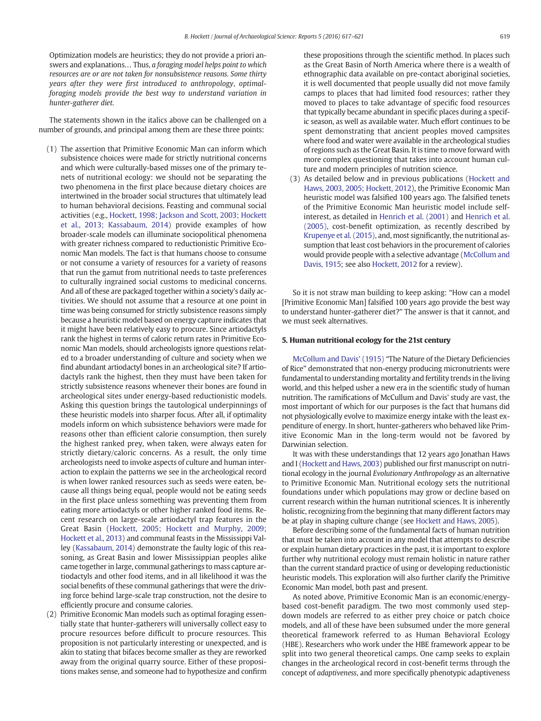Optimization models are heuristics; they do not provide a priori answers and explanations… Thus, a foraging model helps point to which resources are or are not taken for nonsubsistence reasons. Some thirty years after they were first introduced to anthropology, optimalforaging models provide the best way to understand variation in hunter-gatherer diet.

The statements shown in the italics above can be challenged on a number of grounds, and principal among them are these three points:

- (1) The assertion that Primitive Economic Man can inform which subsistence choices were made for strictly nutritional concerns and which were culturally-based misses one of the primary tenets of nutritional ecology: we should not be separating the two phenomena in the first place because dietary choices are intertwined in the broader social structures that ultimately lead to human behavioral decisions. Feasting and communal social activities (e.g., [Hockett, 1998; Jackson and Scott, 2003; Hockett](#page-4-0) [et al., 2013; Kassabaum, 2014](#page-4-0)) provide examples of how broader-scale models can illuminate sociopolitical phenomena with greater richness compared to reductionistic Primitive Economic Man models. The fact is that humans choose to consume or not consume a variety of resources for a variety of reasons that run the gamut from nutritional needs to taste preferences to culturally ingrained social customs to medicinal concerns. And all of these are packaged together within a society's daily activities. We should not assume that a resource at one point in time was being consumed for strictly subsistence reasons simply because a heuristic model based on energy capture indicates that it might have been relatively easy to procure. Since artiodactyls rank the highest in terms of caloric return rates in Primitive Economic Man models, should archeologists ignore questions related to a broader understanding of culture and society when we find abundant artiodactyl bones in an archeological site? If artiodactyls rank the highest, then they must have been taken for strictly subsistence reasons whenever their bones are found in archeological sites under energy-based reductionistic models. Asking this question brings the tautological underpinnings of these heuristic models into sharper focus. After all, if optimality models inform on which subsistence behaviors were made for reasons other than efficient calorie consumption, then surely the highest ranked prey, when taken, were always eaten for strictly dietary/caloric concerns. As a result, the only time archeologists need to invoke aspects of culture and human interaction to explain the patterns we see in the archeological record is when lower ranked resources such as seeds were eaten, because all things being equal, people would not be eating seeds in the first place unless something was preventing them from eating more artiodactyls or other higher ranked food items. Recent research on large-scale artiodactyl trap features in the Great Basin ([Hockett, 2005; Hockett and Murphy, 2009;](#page-4-0) [Hockett et al., 2013](#page-4-0)) and communal feasts in the Mississippi Valley [\(Kassabaum, 2014](#page-4-0)) demonstrate the faulty logic of this reasoning, as Great Basin and lower Mississippian peoples alike came together in large, communal gatherings to mass capture artiodactyls and other food items, and in all likelihood it was the social benefits of these communal gatherings that were the driving force behind large-scale trap construction, not the desire to efficiently procure and consume calories.
- (2) Primitive Economic Man models such as optimal foraging essentially state that hunter-gatherers will universally collect easy to procure resources before difficult to procure resources. This proposition is not particularly interesting or unexpected, and is akin to stating that bifaces become smaller as they are reworked away from the original quarry source. Either of these propositions makes sense, and someone had to hypothesize and confirm

these propositions through the scientific method. In places such as the Great Basin of North America where there is a wealth of ethnographic data available on pre-contact aboriginal societies, it is well documented that people usually did not move family camps to places that had limited food resources; rather they moved to places to take advantage of specific food resources that typically became abundant in specific places during a specific season, as well as available water. Much effort continues to be spent demonstrating that ancient peoples moved campsites where food and water were available in the archeological studies of regions such as the Great Basin. It is time to move forward with more complex questioning that takes into account human culture and modern principles of nutrition science.

(3) As detailed below and in previous publications [\(Hockett and](#page-4-0) [Haws, 2003, 2005; Hockett, 2012\)](#page-4-0), the Primitive Economic Man heuristic model was falsified 100 years ago. The falsified tenets of the Primitive Economic Man heuristic model include selfinterest, as detailed in [Henrich et al. \(2001\)](#page-4-0) and [Henrich et al.](#page-4-0) [\(2005\)](#page-4-0), cost-benefit optimization, as recently described by [Krupenye et al. \(2015\)](#page-4-0), and, most significantly, the nutritional assumption that least cost behaviors in the procurement of calories would provide people with a selective advantage [\(McCollum and](#page-4-0) [Davis, 1915](#page-4-0); see also [Hockett, 2012](#page-4-0) for a review).

So it is not straw man building to keep asking: "How can a model [Primitive Economic Man] falsified 100 years ago provide the best way to understand hunter-gatherer diet?" The answer is that it cannot, and we must seek alternatives.

#### 5. Human nutritional ecology for the 21st century

[McCollum and Davis' \(1915\)](#page-4-0) "The Nature of the Dietary Deficiencies of Rice" demonstrated that non-energy producing micronutrients were fundamental to understanding mortality and fertility trends in the living world, and this helped usher a new era in the scientific study of human nutrition. The ramifications of McCullum and Davis' study are vast, the most important of which for our purposes is the fact that humans did not physiologically evolve to maximize energy intake with the least expenditure of energy. In short, hunter-gatherers who behaved like Primitive Economic Man in the long-term would not be favored by Darwinian selection.

It was with these understandings that 12 years ago Jonathan Haws and I ([Hockett and Haws, 2003\)](#page-4-0) published our first manuscript on nutritional ecology in the journal Evolutionary Anthropology as an alternative to Primitive Economic Man. Nutritional ecology sets the nutritional foundations under which populations may grow or decline based on current research within the human nutritional sciences. It is inherently holistic, recognizing from the beginning that many different factors may be at play in shaping culture change (see [Hockett and Haws, 2005\)](#page-4-0).

Before describing some of the fundamental facts of human nutrition that must be taken into account in any model that attempts to describe or explain human dietary practices in the past, it is important to explore further why nutritional ecology must remain holistic in nature rather than the current standard practice of using or developing reductionistic heuristic models. This exploration will also further clarify the Primitive Economic Man model, both past and present.

As noted above, Primitive Economic Man is an economic/energybased cost-benefit paradigm. The two most commonly used stepdown models are referred to as either prey choice or patch choice models, and all of these have been subsumed under the more general theoretical framework referred to as Human Behavioral Ecology (HBE). Researchers who work under the HBE framework appear to be split into two general theoretical camps. One camp seeks to explain changes in the archeological record in cost-benefit terms through the concept of adaptiveness, and more specifically phenotypic adaptiveness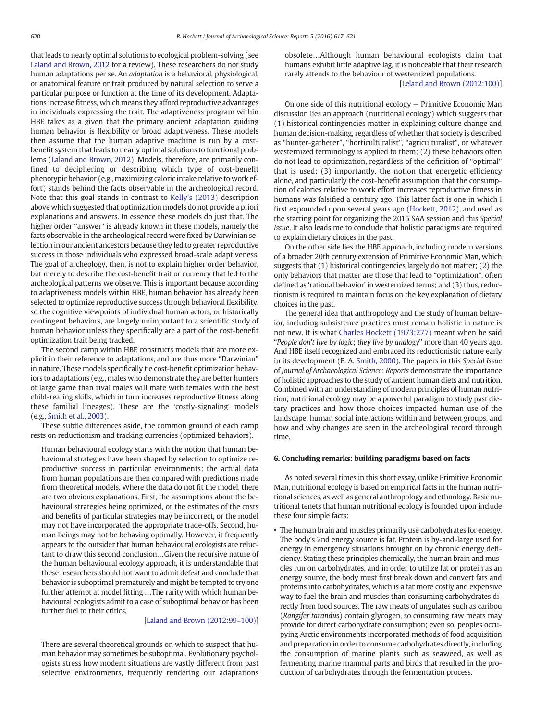that leads to nearly optimal solutions to ecological problem-solving (see [Laland and Brown, 2012](#page-4-0) for a review). These researchers do not study human adaptations per se. An adaptation is a behavioral, physiological, or anatomical feature or trait produced by natural selection to serve a particular purpose or function at the time of its development. Adaptations increase fitness, which means they afford reproductive advantages in individuals expressing the trait. The adaptiveness program within HBE takes as a given that the primary ancient adaptation guiding human behavior is flexibility or broad adaptiveness. These models then assume that the human adaptive machine is run by a costbenefit system that leads to nearly optimal solutions to functional problems ([Laland and Brown, 2012](#page-4-0)). Models, therefore, are primarily confined to deciphering or describing which type of cost-benefit phenotypic behavior (e.g., maximizing caloric intake relative to work effort) stands behind the facts observable in the archeological record. Note that this goal stands in contrast to [Kelly's \(2013\)](#page-4-0) description above which suggested that optimization models do not provide a priori explanations and answers. In essence these models do just that. The higher order "answer" is already known in these models, namely the facts observable in the archeological record were fixed by Darwinian selection in our ancient ancestors because they led to greater reproductive success in those individuals who expressed broad-scale adaptiveness. The goal of archeology, then, is not to explain higher order behavior, but merely to describe the cost-benefit trait or currency that led to the archeological patterns we observe. This is important because according to adaptiveness models within HBE, human behavior has already been selected to optimize reproductive success through behavioral flexibility, so the cognitive viewpoints of individual human actors, or historically contingent behaviors, are largely unimportant to a scientific study of human behavior unless they specifically are a part of the cost-benefit optimization trait being tracked.

The second camp within HBE constructs models that are more explicit in their reference to adaptations, and are thus more "Darwinian" in nature. These models specifically tie cost-benefit optimization behaviors to adaptations (e.g., males who demonstrate they are better hunters of large game than rival males will mate with females with the best child-rearing skills, which in turn increases reproductive fitness along these familial lineages). These are the 'costly-signaling' models (e.g., [Smith et al., 2003](#page-4-0)).

These subtle differences aside, the common ground of each camp rests on reductionism and tracking currencies (optimized behaviors).

Human behavioural ecology starts with the notion that human behavioural strategies have been shaped by selection to optimize reproductive success in particular environments: the actual data from human populations are then compared with predictions made from theoretical models. Where the data do not fit the model, there are two obvious explanations. First, the assumptions about the behavioural strategies being optimized, or the estimates of the costs and benefits of particular strategies may be incorrect, or the model may not have incorporated the appropriate trade-offs. Second, human beings may not be behaving optimally. However, it frequently appears to the outsider that human behavioural ecologists are reluctant to draw this second conclusion…Given the recursive nature of the human behavioural ecology approach, it is understandable that these researchers should not want to admit defeat and conclude that behavior is suboptimal prematurely and might be tempted to try one further attempt at model fitting …The rarity with which human behavioural ecologists admit to a case of suboptimal behavior has been further fuel to their critics.

#### [\[Laland and Brown \(2012:99](#page-4-0)–100)]

There are several theoretical grounds on which to suspect that human behavior may sometimes be suboptimal. Evolutionary psychologists stress how modern situations are vastly different from past selective environments, frequently rendering our adaptations obsolete…Although human behavioural ecologists claim that humans exhibit little adaptive lag, it is noticeable that their research rarely attends to the behaviour of westernized populations.

#### [[Leland and Brown \(2012:100\)\]](#page-4-0)

On one side of this nutritional ecology — Primitive Economic Man discussion lies an approach (nutritional ecology) which suggests that (1) historical contingencies matter in explaining culture change and human decision-making, regardless of whether that society is described as "hunter-gatherer", "horticulturalist", "agriculturalist", or whatever westernized terminology is applied to them; (2) these behaviors often do not lead to optimization, regardless of the definition of "optimal" that is used; (3) importantly, the notion that energetic efficiency alone, and particularly the cost-benefit assumption that the consumption of calories relative to work effort increases reproductive fitness in humans was falsified a century ago. This latter fact is one in which I first expounded upon several years ago [\(Hockett, 2012](#page-4-0)), and used as the starting point for organizing the 2015 SAA session and this Special Issue. It also leads me to conclude that holistic paradigms are required to explain dietary choices in the past.

On the other side lies the HBE approach, including modern versions of a broader 20th century extension of Primitive Economic Man, which suggests that (1) historical contingencies largely do not matter; (2) the only behaviors that matter are those that lead to "optimization", often defined as 'rational behavior' in westernized terms; and (3) thus, reductionism is required to maintain focus on the key explanation of dietary choices in the past.

The general idea that anthropology and the study of human behavior, including subsistence practices must remain holistic in nature is not new. It is what [Charles Hockett \(1973:277\)](#page-4-0) meant when he said "People don't live by logic; they live by analogy" more than 40 years ago. And HBE itself recognized and embraced its reductionistic nature early in its development (E. A. [Smith, 2000\)](#page-4-0). The papers in this Special Issue of Journal of Archaeological Science: Reports demonstrate the importance of holistic approaches to the study of ancient human diets and nutrition. Combined with an understanding of modern principles of human nutrition, nutritional ecology may be a powerful paradigm to study past dietary practices and how those choices impacted human use of the landscape, human social interactions within and between groups, and how and why changes are seen in the archeological record through time.

#### 6. Concluding remarks: building paradigms based on facts

As noted several times in this short essay, unlike Primitive Economic Man, nutritional ecology is based on empirical facts in the human nutritional sciences, as well as general anthropology and ethnology. Basic nutritional tenets that human nutritional ecology is founded upon include these four simple facts:

• The human brain and muscles primarily use carbohydrates for energy. The body's 2nd energy source is fat. Protein is by-and-large used for energy in emergency situations brought on by chronic energy deficiency. Stating these principles chemically, the human brain and muscles run on carbohydrates, and in order to utilize fat or protein as an energy source, the body must first break down and convert fats and proteins into carbohydrates, which is a far more costly and expensive way to fuel the brain and muscles than consuming carbohydrates directly from food sources. The raw meats of ungulates such as caribou (Rangifer tarandus) contain glycogen, so consuming raw meats may provide for direct carbohydrate consumption; even so, peoples occupying Arctic environments incorporated methods of food acquisition and preparation in order to consume carbohydrates directly, including the consumption of marine plants such as seaweed, as well as fermenting marine mammal parts and birds that resulted in the production of carbohydrates through the fermentation process.